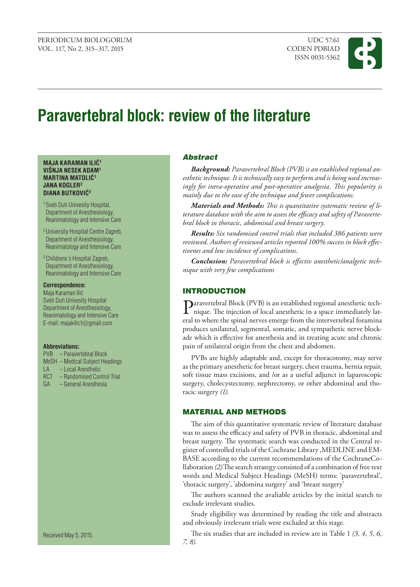

# **Paravertebral block: review of the literature**

### **MAJA KARAMAN ILIĆ<sup>1</sup> VIŠNJA NESEK ADAM1 MARTINA MATOLIĆ<sup>1</sup> JANA KOGLER2 DIANA BUTKOVIĆ<sup>3</sup>**

- 1 Sveti Duh Univesity Hospital, Department of Anesthesiology, Reanimatology and Intensive Care
- 2 University Hospital Centre Zagreb, Department of Anesthesiology, Reanimatology and Intensive Care
- 3 Childrens´s Hospital Zagreb, Department of Anesthesiology, Reanimatology and Intensive Care

#### **Correspondence:**

Maja Karaman Ilić Sveti Duh Univesity Hospital Department of Anesthesiology, Reanimatology and Intensive Care E-mail: majakilic1@gmail.com

#### **Abbreviations:**

- PVB Paravertebral Block
- MeSH Medical Subject Headings
- LA Local Anesthetic
- RCT Randomised Control Trial<br>GA General Anesthesia
- GA General Anesthesia

Received May 5, 2015.

## Abstract

*Background: Paravertebral Block (PVB) is an established regional anesthetic technique. It is technically easy to perform and is being used increasingly for intra-operative and post-operative analgesia. This popularity is mainly due to the ease of the technique and fewer complications.* 

*Materials and Methods: This is quantitative systematic review of literature database with the aim to assess the efficacy and safety of Paravertebral block in thoracic, abdominal and breast surgery.*

*Results: Six randomised control trials that included 386 patients were reviewed. Authors of reviewed articles reported 100% success in block effectivenes and low incidence of complications.* 

*Conclusion: Paravertebral block is effectiv anesthetic/analgetic technique with very few complications*

# **INTRODUCTION**

Paravertebral Block (PVB) is an established regional anesthetic technique. The injection of local anesthetic in a space immediately lateral to where the spinal nerves emerge from the intervertebral foramina produces unilateral, segmental, somatic, and sympathetic nerve blockade which is effective for anesthesia and in treating acute and chronic pain of unilateral origin from the chest and abdomen.

PVBs are highly adaptable and, except for thoracotomy, may serve as the primary anesthetic for breast surgery, chest trauma, hernia repair, soft tissue mass excisions, and /or as a useful adjunct in laparoscopic surgery, cholecystectomy, nephrectomy, or other abdominal and thoracic surgery *(1).*

# Material and methods

The aim of this quantitative systematic review of literature database was to assess the efficacy and safety of PVB in thoracic, abdominal and breast surgery. The systematic search was conducted in the Central register of controlled trials of the Cochrane Library ,MEDLINE and EM-BASE according to the current recommendations of the CochraneCollaboration *(2).*The search strategy consisted of a combination of free text words and Medical Subject Headings (MeSH) terms: 'paravertebral', 'thoracic surgery', 'abdomina surgery' and 'breast surgery'

The authors scanned the avaliable articles by the initial search to exclude irrelevant studies.

Study eligibility was determined by reading the title and abstracts and obviously irrelevant trials were excluded at this stage.

The six studies that are included in review are in Table 1 *(3, 4, 5, 6, 7, 8).*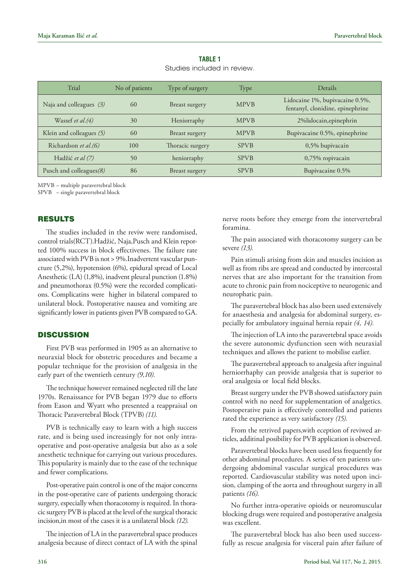| Trial                      | No of patients | Type of surgery  | Type        | Details                                                             |
|----------------------------|----------------|------------------|-------------|---------------------------------------------------------------------|
| Naja and colleagues $(3)$  | 60             | Breast surgery   | <b>MPVB</b> | Lidocaine 1%, bupivacaine 0.5%,<br>fentanyl, clonidine, epinephrine |
| Wassef <i>et al.</i> $(4)$ | 30             | Heniorraphy      | <b>MPVB</b> | 2%lidocain, epinephrin                                              |
| Klein and colleagues $(5)$ | 60             | Breast surgery   | <b>MPVB</b> | Bupivacaine 0.5%, epinephrine                                       |
| Richardson et al.(6)       | 100            | Thoracic surgery | <b>SPVB</b> | $0,5%$ bupivacain                                                   |
| Hadžić et al (7)           | 50             | heniorraphy      | <b>SPVB</b> | $0,75%$ ropivacain                                                  |
| Pusch and colleagues(8)    | 86             | Breast surgery   | <b>SPVB</b> | Bupivacaine 0.5%                                                    |

**Table 1** Studies included in review.

MPVB – multiple paravertebral block

SPVB – single paravertebral block

## **RESULTS**

The studies included in the reviw were randomised, control trials(RCT).Hadžić, Naja,Pusch and Klein reported 100% success in block effectivenes. The failure rate associated with PVB is not > 9%.Inadvertent vascular puncture (5,2%), hypotension (6%), epidural spread of Local Anesthetic (LA) (1,8%), inadvent pleural punction (1.8%) and pneumothorax (0.5%) were the recorded complications. Complicatins were higher in bilateral compared to unilateral block. Postoperative nausea and vomiting are significantly lower in patients given PVB compared to GA.

## **DISCUSSION**

First PVB was performed in 1905 as an alternative to neuraxial block for obstetric procedures and became a popular technique for the provision of analgesia in the early part of the twentieth century *(9,10).* 

The technique however remained neglected till the late 1970s. Renaissance for PVB began 1979 due to efforts from Eason and Wyatt who presented a reappraisal on Thoracic Paravertebral Block (TPVB)*(11).*

PVB is technically easy to learn with a high success rate, and is being used increasingly for not only intraoperative and post-operative analgesia but also as a sole anesthetic technique for carrying out various procedures. This popularity is mainly due to the ease of the technique and fewer complications.

Post-operative pain control is one of the major concerns in the post-operative care of patients undergoing thoracic surgery, especially when thoracotomy is required. In thoracic surgery PVB is placed at the level of the surgical thoracic incision,in most of the cases it is a unilateral block *(12).*

The injection of LA in the paravertebral space produces analgesia because of direct contact of LA with the spinal

nerve roots before they emerge from the intervertebral foramina.

The pain associated with thoracotomy surgery can be severe *(13).*

Pain stimuli arising from skin and muscles incision as well as from ribs are spread and conducted by intercostal nerves that are also important for the transition from acute to chronic pain from nociceptive to neurogenic and neurophatic pain.

The paravertebral block has also been used extensively for anaesthesia and analgesia for abdominal surgery, especially for ambulatory inguinal hernia repair *(4, 14).*

The injection of LA into the paravertebral space avoids the severe autonomic dysfunction seen with neuraxial techniques and allows the patient to mobilise earlier.

The paravertebral approach to analgesia after inguinal herniorrhaphy can provide analgesia that is superior to oral analgesia or local field blocks.

Breast surgery under the PVB showed satisfactory pain control with no need for supplementation of analgetics. Postoperative pain is effectively controlled and patients rated the experience as very satisfactory *(15).*

From the retrived papers,with eception of reviwed articles, additinal posibility for PVB application is observed.

Paravertebral blocks have been used less frequently for other abdominal procedures. A series of ten patients undergoing abdominal vascular surgical procedures was reported. Cardiovascular stability was noted upon incision, clamping of the aorta and throughout surgery in all patients *(16).*

No further intra-operative opioids or neuromuscular blocking drugs were required and postoperative analgesia was excellent.

The paravertebral block has also been used successfully as rescue analgesia for visceral pain after failure of